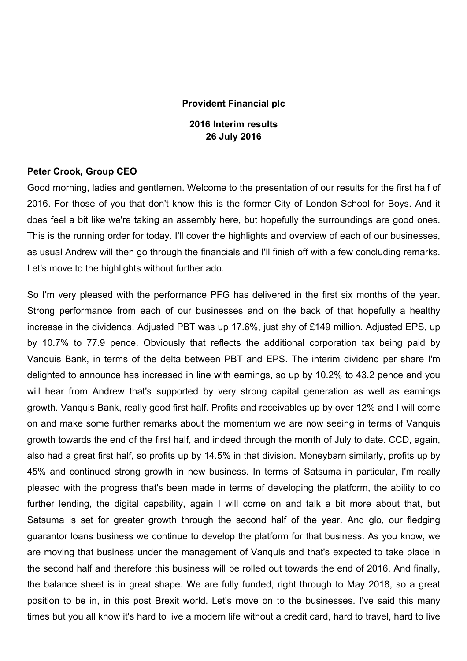# **Provident Financial plc**

**2016 Interim results 26 July 2016**

#### **Peter Crook, Group CEO**

Good morning, ladies and gentlemen. Welcome to the presentation of our results for the first half of 2016. For those of you that don't know this is the former City of London School for Boys. And it does feel a bit like we're taking an assembly here, but hopefully the surroundings are good ones. This is the running order for today. I'll cover the highlights and overview of each of our businesses, as usual Andrew will then go through the financials and I'll finish off with a few concluding remarks. Let's move to the highlights without further ado.

So I'm very pleased with the performance PFG has delivered in the first six months of the year. Strong performance from each of our businesses and on the back of that hopefully a healthy increase in the dividends. Adjusted PBT was up 17.6%, just shy of £149 million. Adjusted EPS, up by 10.7% to 77.9 pence. Obviously that reflects the additional corporation tax being paid by Vanquis Bank, in terms of the delta between PBT and EPS. The interim dividend per share I'm delighted to announce has increased in line with earnings, so up by 10.2% to 43.2 pence and you will hear from Andrew that's supported by very strong capital generation as well as earnings growth. Vanquis Bank, really good first half. Profits and receivables up by over 12% and I will come on and make some further remarks about the momentum we are now seeing in terms of Vanquis growth towards the end of the first half, and indeed through the month of July to date. CCD, again, also had a great first half, so profits up by 14.5% in that division. Moneybarn similarly, profits up by 45% and continued strong growth in new business. In terms of Satsuma in particular, I'm really pleased with the progress that's been made in terms of developing the platform, the ability to do further lending, the digital capability, again I will come on and talk a bit more about that, but Satsuma is set for greater growth through the second half of the year. And glo, our fledging guarantor loans business we continue to develop the platform for that business. As you know, we are moving that business under the management of Vanquis and that's expected to take place in the second half and therefore this business will be rolled out towards the end of 2016. And finally, the balance sheet is in great shape. We are fully funded, right through to May 2018, so a great position to be in, in this post Brexit world. Let's move on to the businesses. I've said this many times but you all know it's hard to live a modern life without a credit card, hard to travel, hard to live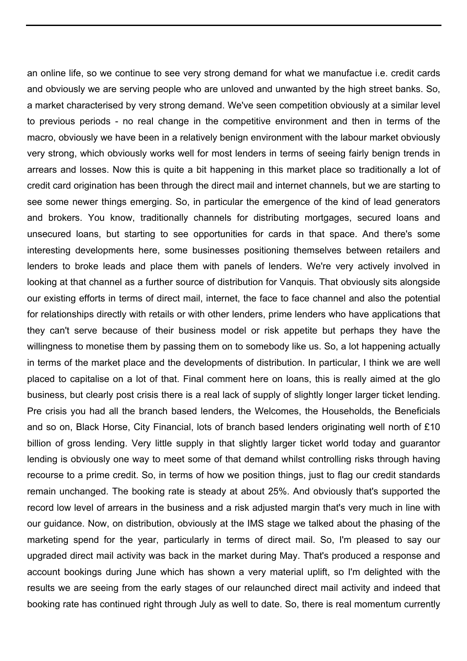an online life, so we continue to see very strong demand for what we manufactue i.e. credit cards and obviously we are serving people who are unloved and unwanted by the high street banks. So, a market characterised by very strong demand. We've seen competition obviously at a similar level to previous periods - no real change in the competitive environment and then in terms of the macro, obviously we have been in a relatively benign environment with the labour market obviously very strong, which obviously works well for most lenders in terms of seeing fairly benign trends in arrears and losses. Now this is quite a bit happening in this market place so traditionally a lot of credit card origination has been through the direct mail and internet channels, but we are starting to see some newer things emerging. So, in particular the emergence of the kind of lead generators and brokers. You know, traditionally channels for distributing mortgages, secured loans and unsecured loans, but starting to see opportunities for cards in that space. And there's some interesting developments here, some businesses positioning themselves between retailers and lenders to broke leads and place them with panels of lenders. We're very actively involved in looking at that channel as a further source of distribution for Vanquis. That obviously sits alongside our existing efforts in terms of direct mail, internet, the face to face channel and also the potential for relationships directly with retails or with other lenders, prime lenders who have applications that they can't serve because of their business model or risk appetite but perhaps they have the willingness to monetise them by passing them on to somebody like us. So, a lot happening actually in terms of the market place and the developments of distribution. In particular, I think we are well placed to capitalise on a lot of that. Final comment here on loans, this is really aimed at the glo business, but clearly post crisis there is a real lack of supply of slightly longer larger ticket lending. Pre crisis you had all the branch based lenders, the Welcomes, the Households, the Beneficials and so on, Black Horse, City Financial, lots of branch based lenders originating well north of £10 billion of gross lending. Very little supply in that slightly larger ticket world today and guarantor lending is obviously one way to meet some of that demand whilst controlling risks through having recourse to a prime credit. So, in terms of how we position things, just to flag our credit standards remain unchanged. The booking rate is steady at about 25%. And obviously that's supported the record low level of arrears in the business and a risk adjusted margin that's very much in line with our guidance. Now, on distribution, obviously at the IMS stage we talked about the phasing of the marketing spend for the year, particularly in terms of direct mail. So, I'm pleased to say our upgraded direct mail activity was back in the market during May. That's produced a response and account bookings during June which has shown a very material uplift, so I'm delighted with the results we are seeing from the early stages of our relaunched direct mail activity and indeed that booking rate has continued right through July as well to date. So, there is real momentum currently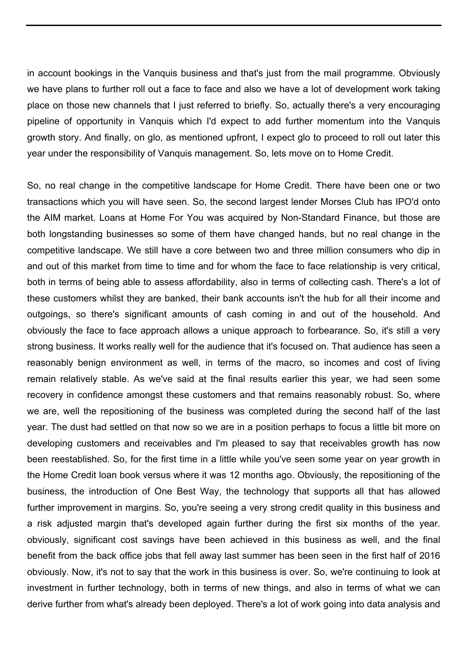in account bookings in the Vanquis business and that's just from the mail programme. Obviously we have plans to further roll out a face to face and also we have a lot of development work taking place on those new channels that I just referred to briefly. So, actually there's a very encouraging pipeline of opportunity in Vanquis which I'd expect to add further momentum into the Vanquis growth story. And finally, on glo, as mentioned upfront, I expect glo to proceed to roll out later this year under the responsibility of Vanquis management. So, lets move on to Home Credit.

So, no real change in the competitive landscape for Home Credit. There have been one or two transactions which you will have seen. So, the second largest lender Morses Club has IPO'd onto the AIM market. Loans at Home For You was acquired by Non-Standard Finance, but those are both longstanding businesses so some of them have changed hands, but no real change in the competitive landscape. We still have a core between two and three million consumers who dip in and out of this market from time to time and for whom the face to face relationship is very critical, both in terms of being able to assess affordability, also in terms of collecting cash. There's a lot of these customers whilst they are banked, their bank accounts isn't the hub for all their income and outgoings, so there's significant amounts of cash coming in and out of the household. And obviously the face to face approach allows a unique approach to forbearance. So, it's still a very strong business. It works really well for the audience that it's focused on. That audience has seen a reasonably benign environment as well, in terms of the macro, so incomes and cost of living remain relatively stable. As we've said at the final results earlier this year, we had seen some recovery in confidence amongst these customers and that remains reasonably robust. So, where we are, well the repositioning of the business was completed during the second half of the last year. The dust had settled on that now so we are in a position perhaps to focus a little bit more on developing customers and receivables and I'm pleased to say that receivables growth has now been reestablished. So, for the first time in a little while you've seen some year on year growth in the Home Credit loan book versus where it was 12 months ago. Obviously, the repositioning of the business, the introduction of One Best Way, the technology that supports all that has allowed further improvement in margins. So, you're seeing a very strong credit quality in this business and a risk adjusted margin that's developed again further during the first six months of the year. obviously, significant cost savings have been achieved in this business as well, and the final benefit from the back office jobs that fell away last summer has been seen in the first half of 2016 obviously. Now, it's not to say that the work in this business is over. So, we're continuing to look at investment in further technology, both in terms of new things, and also in terms of what we can derive further from what's already been deployed. There's a lot of work going into data analysis and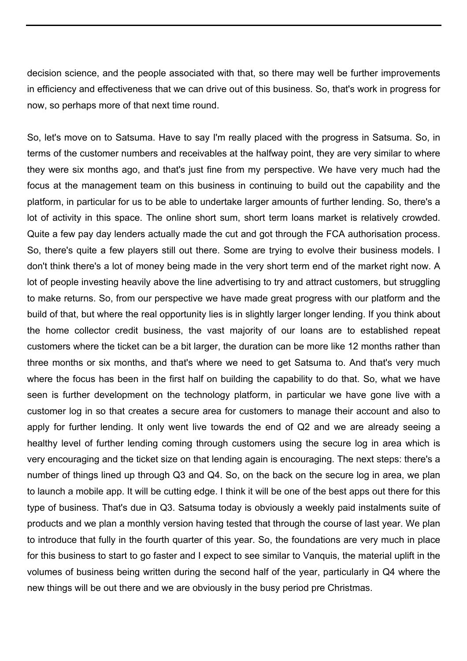decision science, and the people associated with that, so there may well be further improvements in efficiency and effectiveness that we can drive out of this business. So, that's work in progress for now, so perhaps more of that next time round.

So, let's move on to Satsuma. Have to say I'm really placed with the progress in Satsuma. So, in terms of the customer numbers and receivables at the halfway point, they are very similar to where they were six months ago, and that's just fine from my perspective. We have very much had the focus at the management team on this business in continuing to build out the capability and the platform, in particular for us to be able to undertake larger amounts of further lending. So, there's a lot of activity in this space. The online short sum, short term loans market is relatively crowded. Quite a few pay day lenders actually made the cut and got through the FCA authorisation process. So, there's quite a few players still out there. Some are trying to evolve their business models. I don't think there's a lot of money being made in the very short term end of the market right now. A lot of people investing heavily above the line advertising to try and attract customers, but struggling to make returns. So, from our perspective we have made great progress with our platform and the build of that, but where the real opportunity lies is in slightly larger longer lending. If you think about the home collector credit business, the vast majority of our loans are to established repeat customers where the ticket can be a bit larger, the duration can be more like 12 months rather than three months or six months, and that's where we need to get Satsuma to. And that's very much where the focus has been in the first half on building the capability to do that. So, what we have seen is further development on the technology platform, in particular we have gone live with a customer log in so that creates a secure area for customers to manage their account and also to apply for further lending. It only went live towards the end of Q2 and we are already seeing a healthy level of further lending coming through customers using the secure log in area which is very encouraging and the ticket size on that lending again is encouraging. The next steps: there's a number of things lined up through Q3 and Q4. So, on the back on the secure log in area, we plan to launch a mobile app. It will be cutting edge. I think it will be one of the best apps out there for this type of business. That's due in Q3. Satsuma today is obviously a weekly paid instalments suite of products and we plan a monthly version having tested that through the course of last year. We plan to introduce that fully in the fourth quarter of this year. So, the foundations are very much in place for this business to start to go faster and I expect to see similar to Vanquis, the material uplift in the volumes of business being written during the second half of the year, particularly in Q4 where the new things will be out there and we are obviously in the busy period pre Christmas.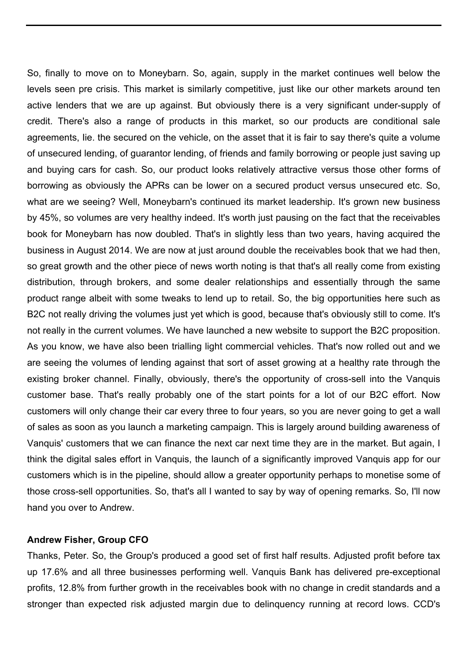So, finally to move on to Moneybarn. So, again, supply in the market continues well below the levels seen pre crisis. This market is similarly competitive, just like our other markets around ten active lenders that we are up against. But obviously there is a very significant under-supply of credit. There's also a range of products in this market, so our products are conditional sale agreements, Iie. the secured on the vehicle, on the asset that it is fair to say there's quite a volume of unsecured lending, of guarantor lending, of friends and family borrowing or people just saving up and buying cars for cash. So, our product looks relatively attractive versus those other forms of borrowing as obviously the APRs can be lower on a secured product versus unsecured etc. So, what are we seeing? Well, Moneybarn's continued its market leadership. It's grown new business by 45%, so volumes are very healthy indeed. It's worth just pausing on the fact that the receivables book for Moneybarn has now doubled. That's in slightly less than two years, having acquired the business in August 2014. We are now at just around double the receivables book that we had then, so great growth and the other piece of news worth noting is that that's all really come from existing distribution, through brokers, and some dealer relationships and essentially through the same product range albeit with some tweaks to lend up to retail. So, the big opportunities here such as B2C not really driving the volumes just yet which is good, because that's obviously still to come. It's not really in the current volumes. We have launched a new website to support the B2C proposition. As you know, we have also been trialling light commercial vehicles. That's now rolled out and we are seeing the volumes of lending against that sort of asset growing at a healthy rate through the existing broker channel. Finally, obviously, there's the opportunity of cross-sell into the Vanquis customer base. That's really probably one of the start points for a lot of our B2C effort. Now customers will only change their car every three to four years, so you are never going to get a wall of sales as soon as you launch a marketing campaign. This is largely around building awareness of Vanquis' customers that we can finance the next car next time they are in the market. But again, I think the digital sales effort in Vanquis, the launch of a significantly improved Vanquis app for our customers which is in the pipeline, should allow a greater opportunity perhaps to monetise some of those cross-sell opportunities. So, that's all I wanted to say by way of opening remarks. So, I'll now hand you over to Andrew.

#### **Andrew Fisher, Group CFO**

Thanks, Peter. So, the Group's produced a good set of first half results. Adjusted profit before tax up 17.6% and all three businesses performing well. Vanquis Bank has delivered pre-exceptional profits, 12.8% from further growth in the receivables book with no change in credit standards and a stronger than expected risk adjusted margin due to delinquency running at record lows. CCD's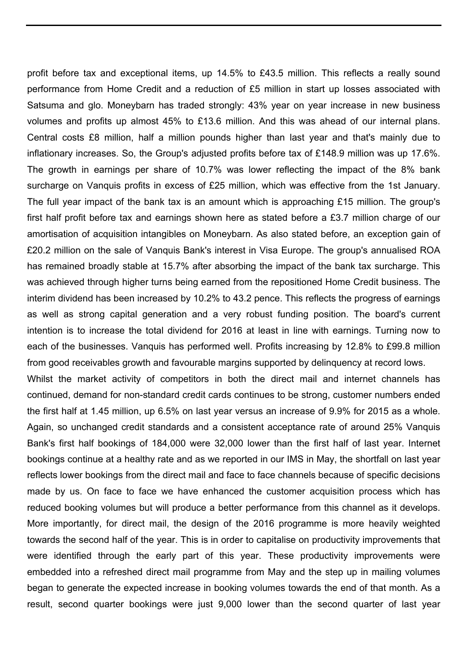profit before tax and exceptional items, up 14.5% to £43.5 million. This reflects a really sound performance from Home Credit and a reduction of £5 million in start up losses associated with Satsuma and glo. Moneybarn has traded strongly: 43% year on year increase in new business volumes and profits up almost 45% to £13.6 million. And this was ahead of our internal plans. Central costs £8 million, half a million pounds higher than last year and that's mainly due to inflationary increases. So, the Group's adjusted profits before tax of £148.9 million was up 17.6%. The growth in earnings per share of 10.7% was lower reflecting the impact of the 8% bank surcharge on Vanquis profits in excess of £25 million, which was effective from the 1st January. The full year impact of the bank tax is an amount which is approaching £15 million. The group's first half profit before tax and earnings shown here as stated before a £3.7 million charge of our amortisation of acquisition intangibles on Moneybarn. As also stated before, an exception gain of £20.2 million on the sale of Vanquis Bank's interest in Visa Europe. The group's annualised ROA has remained broadly stable at 15.7% after absorbing the impact of the bank tax surcharge. This was achieved through higher turns being earned from the repositioned Home Credit business. The interim dividend has been increased by 10.2% to 43.2 pence. This reflects the progress of earnings as well as strong capital generation and a very robust funding position. The board's current intention is to increase the total dividend for 2016 at least in line with earnings. Turning now to each of the businesses. Vanquis has performed well. Profits increasing by 12.8% to £99.8 million from good receivables growth and favourable margins supported by delinquency at record lows.

Whilst the market activity of competitors in both the direct mail and internet channels has continued, demand for non-standard credit cards continues to be strong, customer numbers ended the first half at 1.45 million, up 6.5% on last year versus an increase of 9.9% for 2015 as a whole. Again, so unchanged credit standards and a consistent acceptance rate of around 25% Vanquis Bank's first half bookings of 184,000 were 32,000 lower than the first half of last year. Internet bookings continue at a healthy rate and as we reported in our IMS in May, the shortfall on last year reflects lower bookings from the direct mail and face to face channels because of specific decisions made by us. On face to face we have enhanced the customer acquisition process which has reduced booking volumes but will produce a better performance from this channel as it develops. More importantly, for direct mail, the design of the 2016 programme is more heavily weighted towards the second half of the year. This is in order to capitalise on productivity improvements that were identified through the early part of this year. These productivity improvements were embedded into a refreshed direct mail programme from May and the step up in mailing volumes began to generate the expected increase in booking volumes towards the end of that month. As a result, second quarter bookings were just 9,000 lower than the second quarter of last year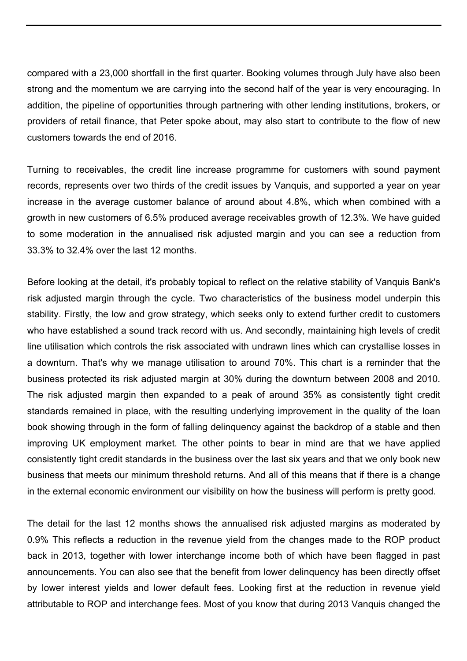compared with a 23,000 shortfall in the first quarter. Booking volumes through July have also been strong and the momentum we are carrying into the second half of the year is very encouraging. In addition, the pipeline of opportunities through partnering with other lending institutions, brokers, or providers of retail finance, that Peter spoke about, may also start to contribute to the flow of new customers towards the end of 2016.

Turning to receivables, the credit line increase programme for customers with sound payment records, represents over two thirds of the credit issues by Vanquis, and supported a year on year increase in the average customer balance of around about 4.8%, which when combined with a growth in new customers of 6.5% produced average receivables growth of 12.3%. We have guided to some moderation in the annualised risk adjusted margin and you can see a reduction from 33.3% to 32.4% over the last 12 months.

Before looking at the detail, it's probably topical to reflect on the relative stability of Vanquis Bank's risk adjusted margin through the cycle. Two characteristics of the business model underpin this stability. Firstly, the low and grow strategy, which seeks only to extend further credit to customers who have established a sound track record with us. And secondly, maintaining high levels of credit line utilisation which controls the risk associated with undrawn lines which can crystallise losses in a downturn. That's why we manage utilisation to around 70%. This chart is a reminder that the business protected its risk adjusted margin at 30% during the downturn between 2008 and 2010. The risk adjusted margin then expanded to a peak of around 35% as consistently tight credit standards remained in place, with the resulting underlying improvement in the quality of the loan book showing through in the form of falling delinquency against the backdrop of a stable and then improving UK employment market. The other points to bear in mind are that we have applied consistently tight credit standards in the business over the last six years and that we only book new business that meets our minimum threshold returns. And all of this means that if there is a change in the external economic environment our visibility on how the business will perform is pretty good.

The detail for the last 12 months shows the annualised risk adjusted margins as moderated by 0.9% This reflects a reduction in the revenue yield from the changes made to the ROP product back in 2013, together with lower interchange income both of which have been flagged in past announcements. You can also see that the benefit from lower delinquency has been directly offset by lower interest yields and lower default fees. Looking first at the reduction in revenue yield attributable to ROP and interchange fees. Most of you know that during 2013 Vanquis changed the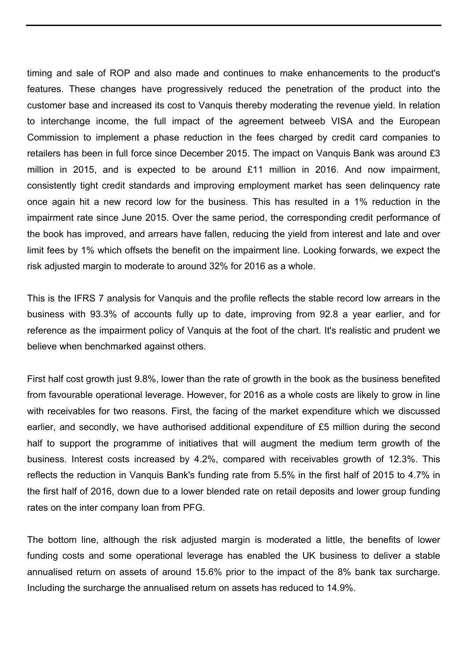timing and sale of ROP and also made and continues to make enhancements to the product's features. These changes have progressively reduced the penetration of the product into the customer base and increased its cost to Vanquis thereby moderating the revenue yield. In relation to interchange income, the full impact of the agreement betweeb VISA and the European Commission to implement a phase reduction in the fees charged by credit card companies to retailers has been in full force since December 2015. The impact on Vanquis Bank was around £3 million in 2015, and is expected to be around £11 million in 2016. And now impairment, consistently tight credit standards and improving employment market has seen delinquency rate once again hit a new record low for the business. This has resulted in a 1% reduction in the impairment rate since June 2015. Over the same period, the corresponding credit performance of the book has improved, and arrears have fallen, reducing the yield from interest and late and over limit fees by 1% which offsets the benefit on the impairment line. Looking forwards, we expect the risk adjusted margin to moderate to around 32% for 2016 as a whole.

This is the IFRS 7 analysis for Vanquis and the profile reflects the stable record low arrears in the business with 93.3% of accounts fully up to date, improving from 92.8 a year earlier, and for reference as the impairment policy of Vanquis at the foot of the chart. It's realistic and prudent we believe when benchmarked against others.

First half cost growth just 9.8%, lower than the rate of growth in the book as the business benefited from favourable operational leverage. However, for 2016 as a whole costs are likely to grow in line with receivables for two reasons. First, the facing of the market expenditure which we discussed earlier, and secondly, we have authorised additional expenditure of £5 million during the second half to support the programme of initiatives that will augment the medium term growth of the business. Interest costs increased by 4.2%, compared with receivables growth of 12.3%. This reflects the reduction in Vanquis Bank's funding rate from 5.5% in the first half of 2015 to 4.7% in the first half of 2016, down due to a lower blended rate on retail deposits and lower group funding rates on the inter company loan from PFG.

The bottom line, although the risk adjusted margin is moderated a little, the benefits of lower funding costs and some operational leverage has enabled the UK business to deliver a stable annualised return on assets of around 15.6% prior to the impact of the 8% bank tax surcharge. Including the surcharge the annualised return on assets has reduced to 14.9%.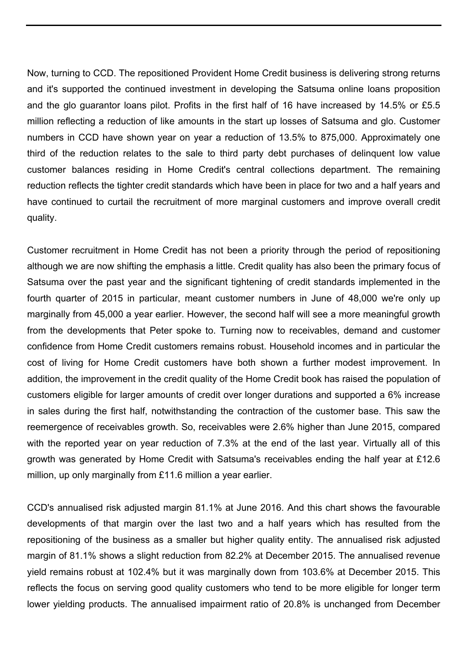Now, turning to CCD. The repositioned Provident Home Credit business is delivering strong returns and it's supported the continued investment in developing the Satsuma online loans proposition and the glo guarantor loans pilot. Profits in the first half of 16 have increased by 14.5% or £5.5 million reflecting a reduction of like amounts in the start up losses of Satsuma and glo. Customer numbers in CCD have shown year on year a reduction of 13.5% to 875,000. Approximately one third of the reduction relates to the sale to third party debt purchases of delinquent low value customer balances residing in Home Credit's central collections department. The remaining reduction reflects the tighter credit standards which have been in place for two and a half years and have continued to curtail the recruitment of more marginal customers and improve overall credit quality.

Customer recruitment in Home Credit has not been a priority through the period of repositioning although we are now shifting the emphasis a little. Credit quality has also been the primary focus of Satsuma over the past year and the significant tightening of credit standards implemented in the fourth quarter of 2015 in particular, meant customer numbers in June of 48,000 we're only up marginally from 45,000 a year earlier. However, the second half will see a more meaningful growth from the developments that Peter spoke to. Turning now to receivables, demand and customer confidence from Home Credit customers remains robust. Household incomes and in particular the cost of living for Home Credit customers have both shown a further modest improvement. In addition, the improvement in the credit quality of the Home Credit book has raised the population of customers eligible for larger amounts of credit over longer durations and supported a 6% increase in sales during the first half, notwithstanding the contraction of the customer base. This saw the reemergence of receivables growth. So, receivables were 2.6% higher than June 2015, compared with the reported year on year reduction of 7.3% at the end of the last year. Virtually all of this growth was generated by Home Credit with Satsuma's receivables ending the half year at £12.6 million, up only marginally from £11.6 million a year earlier.

CCD's annualised risk adjusted margin 81.1% at June 2016. And this chart shows the favourable developments of that margin over the last two and a half years which has resulted from the repositioning of the business as a smaller but higher quality entity. The annualised risk adjusted margin of 81.1% shows a slight reduction from 82.2% at December 2015. The annualised revenue yield remains robust at 102.4% but it was marginally down from 103.6% at December 2015. This reflects the focus on serving good quality customers who tend to be more eligible for longer term lower yielding products. The annualised impairment ratio of 20.8% is unchanged from December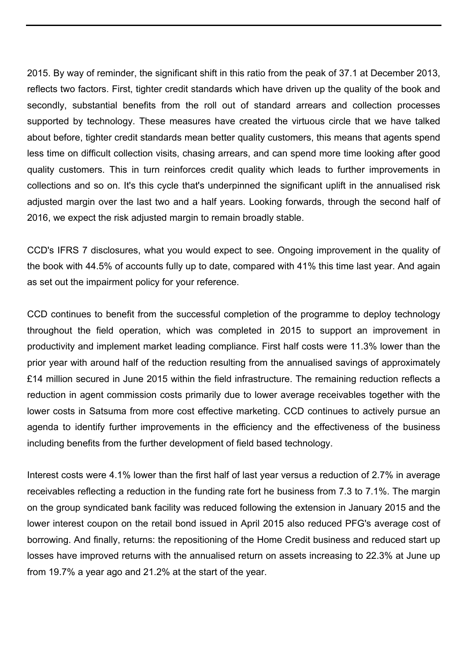2015. By way of reminder, the significant shift in this ratio from the peak of 37.1 at December 2013, reflects two factors. First, tighter credit standards which have driven up the quality of the book and secondly, substantial benefits from the roll out of standard arrears and collection processes supported by technology. These measures have created the virtuous circle that we have talked about before, tighter credit standards mean better quality customers, this means that agents spend less time on difficult collection visits, chasing arrears, and can spend more time looking after good quality customers. This in turn reinforces credit quality which leads to further improvements in collections and so on. It's this cycle that's underpinned the significant uplift in the annualised risk adjusted margin over the last two and a half years. Looking forwards, through the second half of 2016, we expect the risk adjusted margin to remain broadly stable.

CCD's IFRS 7 disclosures, what you would expect to see. Ongoing improvement in the quality of the book with 44.5% of accounts fully up to date, compared with 41% this time last year. And again as set out the impairment policy for your reference.

CCD continues to benefit from the successful completion of the programme to deploy technology throughout the field operation, which was completed in 2015 to support an improvement in productivity and implement market leading compliance. First half costs were 11.3% lower than the prior year with around half of the reduction resulting from the annualised savings of approximately £14 million secured in June 2015 within the field infrastructure. The remaining reduction reflects a reduction in agent commission costs primarily due to lower average receivables together with the lower costs in Satsuma from more cost effective marketing. CCD continues to actively pursue an agenda to identify further improvements in the efficiency and the effectiveness of the business including benefits from the further development of field based technology.

Interest costs were 4.1% lower than the first half of last year versus a reduction of 2.7% in average receivables reflecting a reduction in the funding rate fort he business from 7.3 to 7.1%. The margin on the group syndicated bank facility was reduced following the extension in January 2015 and the lower interest coupon on the retail bond issued in April 2015 also reduced PFG's average cost of borrowing. And finally, returns: the repositioning of the Home Credit business and reduced start up losses have improved returns with the annualised return on assets increasing to 22.3% at June up from 19.7% a year ago and 21.2% at the start of the year.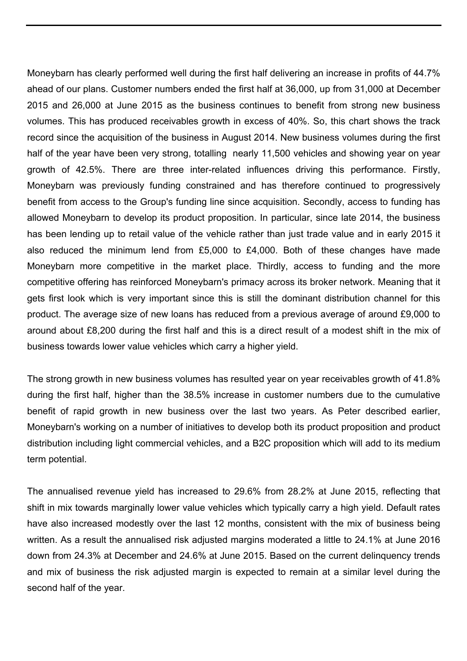Moneybarn has clearly performed well during the first half delivering an increase in profits of 44.7% ahead of our plans. Customer numbers ended the first half at 36,000, up from 31,000 at December 2015 and 26,000 at June 2015 as the business continues to benefit from strong new business volumes. This has produced receivables growth in excess of 40%. So, this chart shows the track record since the acquisition of the business in August 2014. New business volumes during the first half of the year have been very strong, totalling nearly 11,500 vehicles and showing year on year growth of 42.5%. There are three inter-related influences driving this performance. Firstly, Moneybarn was previously funding constrained and has therefore continued to progressively benefit from access to the Group's funding line since acquisition. Secondly, access to funding has allowed Moneybarn to develop its product proposition. In particular, since late 2014, the business has been lending up to retail value of the vehicle rather than just trade value and in early 2015 it also reduced the minimum lend from £5,000 to £4,000. Both of these changes have made Moneybarn more competitive in the market place. Thirdly, access to funding and the more competitive offering has reinforced Moneybarn's primacy across its broker network. Meaning that it gets first look which is very important since this is still the dominant distribution channel for this product. The average size of new loans has reduced from a previous average of around £9,000 to around about £8,200 during the first half and this is a direct result of a modest shift in the mix of business towards lower value vehicles which carry a higher yield.

The strong growth in new business volumes has resulted year on year receivables growth of 41.8% during the first half, higher than the 38.5% increase in customer numbers due to the cumulative benefit of rapid growth in new business over the last two years. As Peter described earlier, Moneybarn's working on a number of initiatives to develop both its product proposition and product distribution including light commercial vehicles, and a B2C proposition which will add to its medium term potential.

The annualised revenue yield has increased to 29.6% from 28.2% at June 2015, reflecting that shift in mix towards marginally lower value vehicles which typically carry a high yield. Default rates have also increased modestly over the last 12 months, consistent with the mix of business being written. As a result the annualised risk adjusted margins moderated a little to 24.1% at June 2016 down from 24.3% at December and 24.6% at June 2015. Based on the current delinquency trends and mix of business the risk adjusted margin is expected to remain at a similar level during the second half of the year.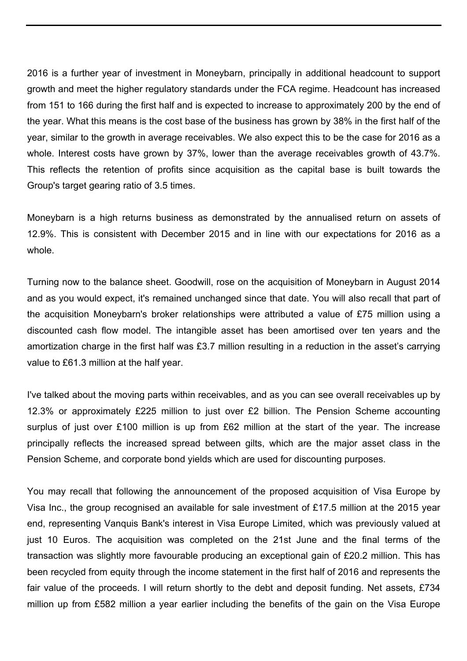2016 is a further year of investment in Moneybarn, principally in additional headcount to support growth and meet the higher regulatory standards under the FCA regime. Headcount has increased from 151 to 166 during the first half and is expected to increase to approximately 200 by the end of the year. What this means is the cost base of the business has grown by 38% in the first half of the year, similar to the growth in average receivables. We also expect this to be the case for 2016 as a whole. Interest costs have grown by 37%, lower than the average receivables growth of 43.7%. This reflects the retention of profits since acquisition as the capital base is built towards the Group's target gearing ratio of 3.5 times.

Moneybarn is a high returns business as demonstrated by the annualised return on assets of 12.9%. This is consistent with December 2015 and in line with our expectations for 2016 as a whole.

Turning now to the balance sheet. Goodwill, rose on the acquisition of Moneybarn in August 2014 and as you would expect, it's remained unchanged since that date. You will also recall that part of the acquisition Moneybarn's broker relationships were attributed a value of £75 million using a discounted cash flow model. The intangible asset has been amortised over ten years and the amortization charge in the first half was £3.7 million resulting in a reduction in the asset's carrying value to £61.3 million at the half year.

I've talked about the moving parts within receivables, and as you can see overall receivables up by 12.3% or approximately £225 million to just over £2 billion. The Pension Scheme accounting surplus of just over £100 million is up from £62 million at the start of the year. The increase principally reflects the increased spread between gilts, which are the major asset class in the Pension Scheme, and corporate bond yields which are used for discounting purposes.

You may recall that following the announcement of the proposed acquisition of Visa Europe by Visa Inc., the group recognised an available for sale investment of £17.5 million at the 2015 year end, representing Vanquis Bank's interest in Visa Europe Limited, which was previously valued at just 10 Euros. The acquisition was completed on the 21st June and the final terms of the transaction was slightly more favourable producing an exceptional gain of £20.2 million. This has been recycled from equity through the income statement in the first half of 2016 and represents the fair value of the proceeds. I will return shortly to the debt and deposit funding. Net assets, £734 million up from £582 million a year earlier including the benefits of the gain on the Visa Europe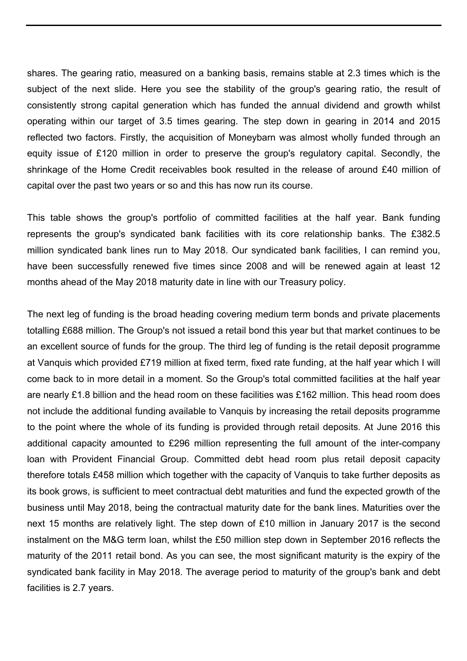shares. The gearing ratio, measured on a banking basis, remains stable at 2.3 times which is the subject of the next slide. Here you see the stability of the group's gearing ratio, the result of consistently strong capital generation which has funded the annual dividend and growth whilst operating within our target of 3.5 times gearing. The step down in gearing in 2014 and 2015 reflected two factors. Firstly, the acquisition of Moneybarn was almost wholly funded through an equity issue of £120 million in order to preserve the group's regulatory capital. Secondly, the shrinkage of the Home Credit receivables book resulted in the release of around £40 million of capital over the past two years or so and this has now run its course.

This table shows the group's portfolio of committed facilities at the half year. Bank funding represents the group's syndicated bank facilities with its core relationship banks. The £382.5 million syndicated bank lines run to May 2018. Our syndicated bank facilities, I can remind you, have been successfully renewed five times since 2008 and will be renewed again at least 12 months ahead of the May 2018 maturity date in line with our Treasury policy.

The next leg of funding is the broad heading covering medium term bonds and private placements totalling £688 million. The Group's not issued a retail bond this year but that market continues to be an excellent source of funds for the group. The third leg of funding is the retail deposit programme at Vanquis which provided £719 million at fixed term, fixed rate funding, at the half year which I will come back to in more detail in a moment. So the Group's total committed facilities at the half year are nearly £1.8 billion and the head room on these facilities was £162 million. This head room does not include the additional funding available to Vanquis by increasing the retail deposits programme to the point where the whole of its funding is provided through retail deposits. At June 2016 this additional capacity amounted to £296 million representing the full amount of the inter-company loan with Provident Financial Group. Committed debt head room plus retail deposit capacity therefore totals £458 million which together with the capacity of Vanquis to take further deposits as its book grows, is sufficient to meet contractual debt maturities and fund the expected growth of the business until May 2018, being the contractual maturity date for the bank lines. Maturities over the next 15 months are relatively light. The step down of £10 million in January 2017 is the second instalment on the M&G term loan, whilst the £50 million step down in September 2016 reflects the maturity of the 2011 retail bond. As you can see, the most significant maturity is the expiry of the syndicated bank facility in May 2018. The average period to maturity of the group's bank and debt facilities is 2.7 years.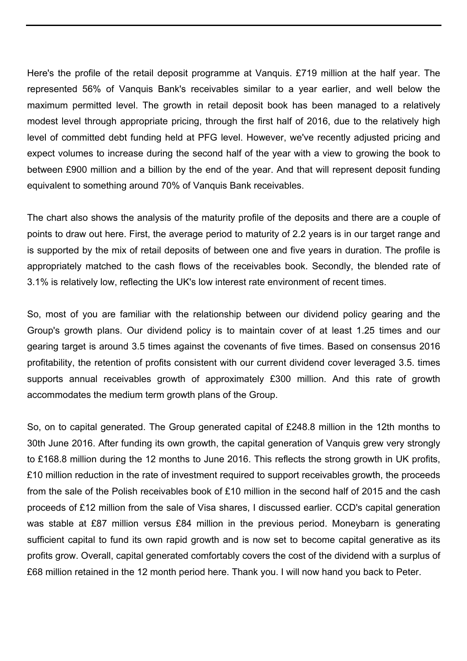Here's the profile of the retail deposit programme at Vanquis. £719 million at the half year. The represented 56% of Vanquis Bank's receivables similar to a year earlier, and well below the maximum permitted level. The growth in retail deposit book has been managed to a relatively modest level through appropriate pricing, through the first half of 2016, due to the relatively high level of committed debt funding held at PFG level. However, we've recently adjusted pricing and expect volumes to increase during the second half of the year with a view to growing the book to between £900 million and a billion by the end of the year. And that will represent deposit funding equivalent to something around 70% of Vanquis Bank receivables.

The chart also shows the analysis of the maturity profile of the deposits and there are a couple of points to draw out here. First, the average period to maturity of 2.2 years is in our target range and is supported by the mix of retail deposits of between one and five years in duration. The profile is appropriately matched to the cash flows of the receivables book. Secondly, the blended rate of 3.1% is relatively low, reflecting the UK's low interest rate environment of recent times.

So, most of you are familiar with the relationship between our dividend policy gearing and the Group's growth plans. Our dividend policy is to maintain cover of at least 1.25 times and our gearing target is around 3.5 times against the covenants of five times. Based on consensus 2016 profitability, the retention of profits consistent with our current dividend cover leveraged 3.5. times supports annual receivables growth of approximately £300 million. And this rate of growth accommodates the medium term growth plans of the Group.

So, on to capital generated. The Group generated capital of £248.8 million in the 12th months to 30th June 2016. After funding its own growth, the capital generation of Vanquis grew very strongly to £168.8 million during the 12 months to June 2016. This reflects the strong growth in UK profits, £10 million reduction in the rate of investment required to support receivables growth, the proceeds from the sale of the Polish receivables book of £10 million in the second half of 2015 and the cash proceeds of £12 million from the sale of Visa shares, I discussed earlier. CCD's capital generation was stable at £87 million versus £84 million in the previous period. Moneybarn is generating sufficient capital to fund its own rapid growth and is now set to become capital generative as its profits grow. Overall, capital generated comfortably covers the cost of the dividend with a surplus of £68 million retained in the 12 month period here. Thank you. I will now hand you back to Peter.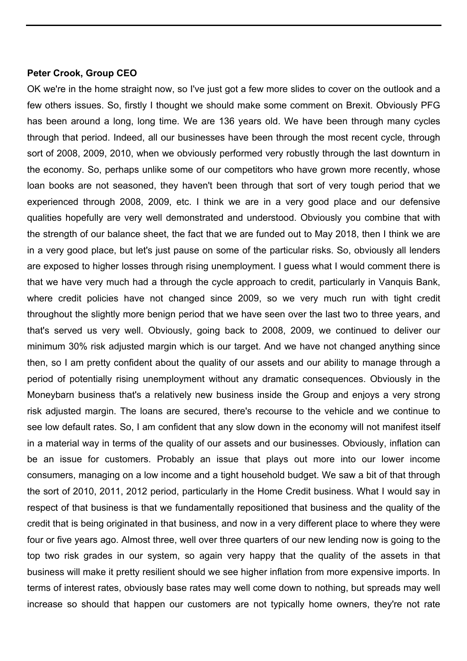# **Peter Crook, Group CEO**

OK we're in the home straight now, so I've just got a few more slides to cover on the outlook and a few others issues. So, firstly I thought we should make some comment on Brexit. Obviously PFG has been around a long, long time. We are 136 years old. We have been through many cycles through that period. Indeed, all our businesses have been through the most recent cycle, through sort of 2008, 2009, 2010, when we obviously performed very robustly through the last downturn in the economy. So, perhaps unlike some of our competitors who have grown more recently, whose loan books are not seasoned, they haven't been through that sort of very tough period that we experienced through 2008, 2009, etc. I think we are in a very good place and our defensive qualities hopefully are very well demonstrated and understood. Obviously you combine that with the strength of our balance sheet, the fact that we are funded out to May 2018, then I think we are in a very good place, but let's just pause on some of the particular risks. So, obviously all lenders are exposed to higher losses through rising unemployment. I guess what I would comment there is that we have very much had a through the cycle approach to credit, particularly in Vanquis Bank, where credit policies have not changed since 2009, so we very much run with tight credit throughout the slightly more benign period that we have seen over the last two to three years, and that's served us very well. Obviously, going back to 2008, 2009, we continued to deliver our minimum 30% risk adjusted margin which is our target. And we have not changed anything since then, so I am pretty confident about the quality of our assets and our ability to manage through a period of potentially rising unemployment without any dramatic consequences. Obviously in the Moneybarn business that's a relatively new business inside the Group and enjoys a very strong risk adjusted margin. The loans are secured, there's recourse to the vehicle and we continue to see low default rates. So, I am confident that any slow down in the economy will not manifest itself in a material way in terms of the quality of our assets and our businesses. Obviously, inflation can be an issue for customers. Probably an issue that plays out more into our lower income consumers, managing on a low income and a tight household budget. We saw a bit of that through the sort of 2010, 2011, 2012 period, particularly in the Home Credit business. What I would say in respect of that business is that we fundamentally repositioned that business and the quality of the credit that is being originated in that business, and now in a very different place to where they were four or five years ago. Almost three, well over three quarters of our new lending now is going to the top two risk grades in our system, so again very happy that the quality of the assets in that business will make it pretty resilient should we see higher inflation from more expensive imports. In terms of interest rates, obviously base rates may well come down to nothing, but spreads may well increase so should that happen our customers are not typically home owners, they're not rate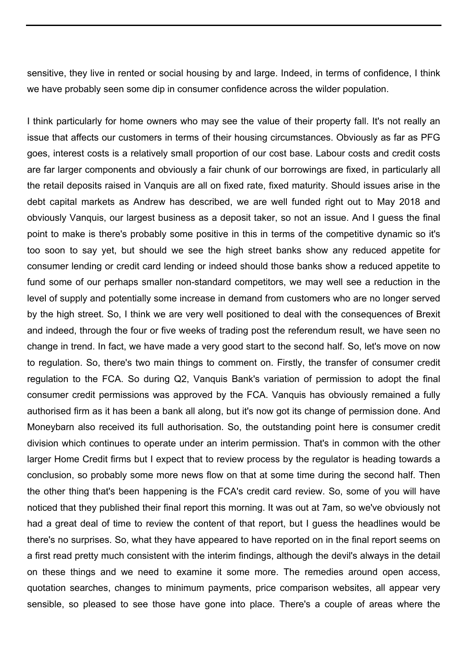sensitive, they live in rented or social housing by and large. Indeed, in terms of confidence, I think we have probably seen some dip in consumer confidence across the wilder population.

I think particularly for home owners who may see the value of their property fall. It's not really an issue that affects our customers in terms of their housing circumstances. Obviously as far as PFG goes, interest costs is a relatively small proportion of our cost base. Labour costs and credit costs are far larger components and obviously a fair chunk of our borrowings are fixed, in particularly all the retail deposits raised in Vanquis are all on fixed rate, fixed maturity. Should issues arise in the debt capital markets as Andrew has described, we are well funded right out to May 2018 and obviously Vanquis, our largest business as a deposit taker, so not an issue. And I guess the final point to make is there's probably some positive in this in terms of the competitive dynamic so it's too soon to say yet, but should we see the high street banks show any reduced appetite for consumer lending or credit card lending or indeed should those banks show a reduced appetite to fund some of our perhaps smaller non-standard competitors, we may well see a reduction in the level of supply and potentially some increase in demand from customers who are no longer served by the high street. So, I think we are very well positioned to deal with the consequences of Brexit and indeed, through the four or five weeks of trading post the referendum result, we have seen no change in trend. In fact, we have made a very good start to the second half. So, let's move on now to regulation. So, there's two main things to comment on. Firstly, the transfer of consumer credit regulation to the FCA. So during Q2, Vanquis Bank's variation of permission to adopt the final consumer credit permissions was approved by the FCA. Vanquis has obviously remained a fully authorised firm as it has been a bank all along, but it's now got its change of permission done. And Moneybarn also received its full authorisation. So, the outstanding point here is consumer credit division which continues to operate under an interim permission. That's in common with the other larger Home Credit firms but I expect that to review process by the regulator is heading towards a conclusion, so probably some more news flow on that at some time during the second half. Then the other thing that's been happening is the FCA's credit card review. So, some of you will have noticed that they published their final report this morning. It was out at 7am, so we've obviously not had a great deal of time to review the content of that report, but I guess the headlines would be there's no surprises. So, what they have appeared to have reported on in the final report seems on a first read pretty much consistent with the interim findings, although the devil's always in the detail on these things and we need to examine it some more. The remedies around open access, quotation searches, changes to minimum payments, price comparison websites, all appear very sensible, so pleased to see those have gone into place. There's a couple of areas where the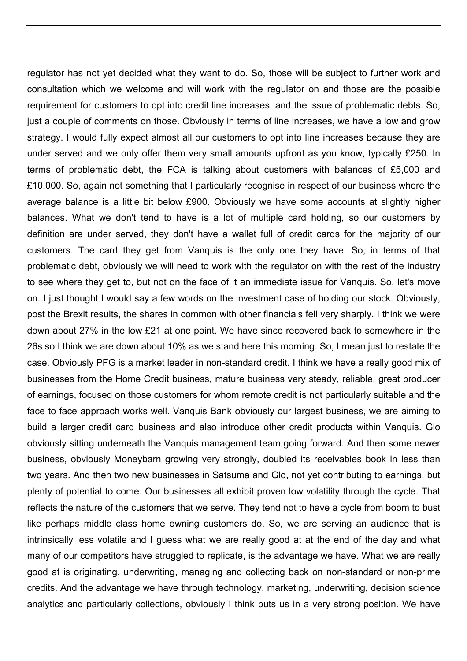regulator has not yet decided what they want to do. So, those will be subject to further work and consultation which we welcome and will work with the regulator on and those are the possible requirement for customers to opt into credit line increases, and the issue of problematic debts. So, just a couple of comments on those. Obviously in terms of line increases, we have a low and grow strategy. I would fully expect almost all our customers to opt into line increases because they are under served and we only offer them very small amounts upfront as you know, typically £250. In terms of problematic debt, the FCA is talking about customers with balances of £5,000 and £10,000. So, again not something that I particularly recognise in respect of our business where the average balance is a little bit below £900. Obviously we have some accounts at slightly higher balances. What we don't tend to have is a lot of multiple card holding, so our customers by definition are under served, they don't have a wallet full of credit cards for the majority of our customers. The card they get from Vanquis is the only one they have. So, in terms of that problematic debt, obviously we will need to work with the regulator on with the rest of the industry to see where they get to, but not on the face of it an immediate issue for Vanquis. So, let's move on. I just thought I would say a few words on the investment case of holding our stock. Obviously, post the Brexit results, the shares in common with other financials fell very sharply. I think we were down about 27% in the low £21 at one point. We have since recovered back to somewhere in the 26s so I think we are down about 10% as we stand here this morning. So, I mean just to restate the case. Obviously PFG is a market leader in non-standard credit. I think we have a really good mix of businesses from the Home Credit business, mature business very steady, reliable, great producer of earnings, focused on those customers for whom remote credit is not particularly suitable and the face to face approach works well. Vanquis Bank obviously our largest business, we are aiming to build a larger credit card business and also introduce other credit products within Vanquis. Glo obviously sitting underneath the Vanquis management team going forward. And then some newer business, obviously Moneybarn growing very strongly, doubled its receivables book in less than two years. And then two new businesses in Satsuma and Glo, not yet contributing to earnings, but plenty of potential to come. Our businesses all exhibit proven low volatility through the cycle. That reflects the nature of the customers that we serve. They tend not to have a cycle from boom to bust like perhaps middle class home owning customers do. So, we are serving an audience that is intrinsically less volatile and I guess what we are really good at at the end of the day and what many of our competitors have struggled to replicate, is the advantage we have. What we are really good at is originating, underwriting, managing and collecting back on non-standard or non-prime credits. And the advantage we have through technology, marketing, underwriting, decision science analytics and particularly collections, obviously I think puts us in a very strong position. We have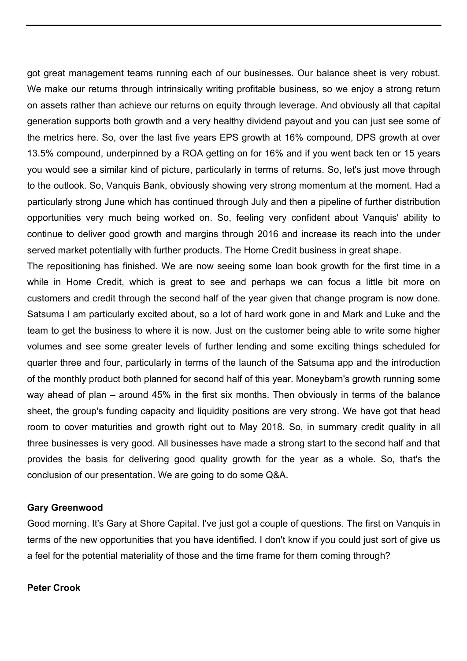got great management teams running each of our businesses. Our balance sheet is very robust. We make our returns through intrinsically writing profitable business, so we enjoy a strong return on assets rather than achieve our returns on equity through leverage. And obviously all that capital generation supports both growth and a very healthy dividend payout and you can just see some of the metrics here. So, over the last five years EPS growth at 16% compound, DPS growth at over 13.5% compound, underpinned by a ROA getting on for 16% and if you went back ten or 15 years you would see a similar kind of picture, particularly in terms of returns. So, let's just move through to the outlook. So, Vanquis Bank, obviously showing very strong momentum at the moment. Had a particularly strong June which has continued through July and then a pipeline of further distribution opportunities very much being worked on. So, feeling very confident about Vanquis' ability to continue to deliver good growth and margins through 2016 and increase its reach into the under served market potentially with further products. The Home Credit business in great shape.

The repositioning has finished. We are now seeing some loan book growth for the first time in a while in Home Credit, which is great to see and perhaps we can focus a little bit more on customers and credit through the second half of the year given that change program is now done. Satsuma I am particularly excited about, so a lot of hard work gone in and Mark and Luke and the team to get the business to where it is now. Just on the customer being able to write some higher volumes and see some greater levels of further lending and some exciting things scheduled for quarter three and four, particularly in terms of the launch of the Satsuma app and the introduction of the monthly product both planned for second half of this year. Moneybarn's growth running some way ahead of plan – around 45% in the first six months. Then obviously in terms of the balance sheet, the group's funding capacity and liquidity positions are very strong. We have got that head room to cover maturities and growth right out to May 2018. So, in summary credit quality in all three businesses is very good. All businesses have made a strong start to the second half and that provides the basis for delivering good quality growth for the year as a whole. So, that's the conclusion of our presentation. We are going to do some Q&A.

#### **Gary Greenwood**

Good morning. It's Gary at Shore Capital. I've just got a couple of questions. The first on Vanquis in terms of the new opportunities that you have identified. I don't know if you could just sort of give us a feel for the potential materiality of those and the time frame for them coming through?

#### **Peter Crook**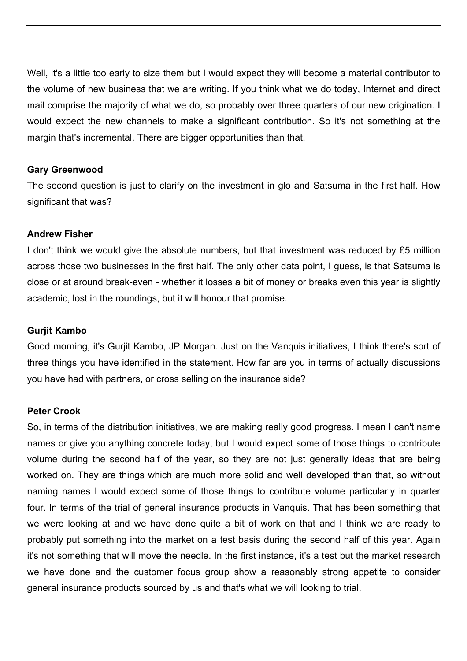Well, it's a little too early to size them but I would expect they will become a material contributor to the volume of new business that we are writing. If you think what we do today, Internet and direct mail comprise the majority of what we do, so probably over three quarters of our new origination. I would expect the new channels to make a significant contribution. So it's not something at the margin that's incremental. There are bigger opportunities than that.

# **Gary Greenwood**

The second question is just to clarify on the investment in glo and Satsuma in the first half. How significant that was?

# **Andrew Fisher**

I don't think we would give the absolute numbers, but that investment was reduced by £5 million across those two businesses in the first half. The only other data point, I guess, is that Satsuma is close or at around break-even - whether it losses a bit of money or breaks even this year is slightly academic, lost in the roundings, but it will honour that promise.

# **Gurjit Kambo**

Good morning, it's Gurjit Kambo, JP Morgan. Just on the Vanquis initiatives, I think there's sort of three things you have identified in the statement. How far are you in terms of actually discussions you have had with partners, or cross selling on the insurance side?

# **Peter Crook**

So, in terms of the distribution initiatives, we are making really good progress. I mean I can't name names or give you anything concrete today, but I would expect some of those things to contribute volume during the second half of the year, so they are not just generally ideas that are being worked on. They are things which are much more solid and well developed than that, so without naming names I would expect some of those things to contribute volume particularly in quarter four. In terms of the trial of general insurance products in Vanquis. That has been something that we were looking at and we have done quite a bit of work on that and I think we are ready to probably put something into the market on a test basis during the second half of this year. Again it's not something that will move the needle. In the first instance, it's a test but the market research we have done and the customer focus group show a reasonably strong appetite to consider general insurance products sourced by us and that's what we will looking to trial.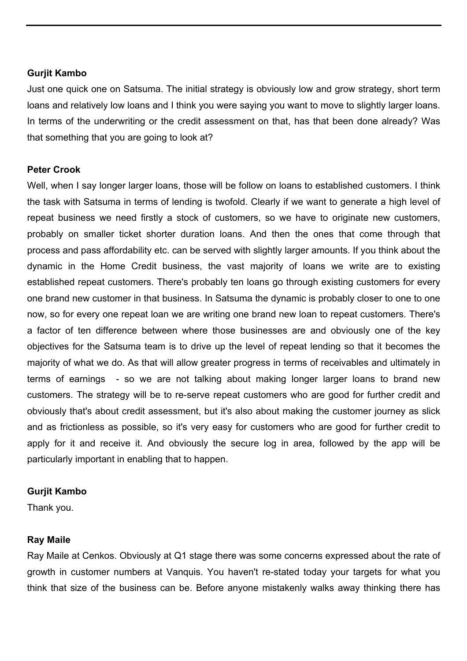## **Gurjit Kambo**

Just one quick one on Satsuma. The initial strategy is obviously low and grow strategy, short term loans and relatively low loans and I think you were saying you want to move to slightly larger loans. In terms of the underwriting or the credit assessment on that, has that been done already? Was that something that you are going to look at?

# **Peter Crook**

Well, when I say longer larger loans, those will be follow on loans to established customers. I think the task with Satsuma in terms of lending is twofold. Clearly if we want to generate a high level of repeat business we need firstly a stock of customers, so we have to originate new customers, probably on smaller ticket shorter duration loans. And then the ones that come through that process and pass affordability etc. can be served with slightly larger amounts. If you think about the dynamic in the Home Credit business, the vast majority of loans we write are to existing established repeat customers. There's probably ten loans go through existing customers for every one brand new customer in that business. In Satsuma the dynamic is probably closer to one to one now, so for every one repeat loan we are writing one brand new loan to repeat customers. There's a factor of ten difference between where those businesses are and obviously one of the key objectives for the Satsuma team is to drive up the level of repeat lending so that it becomes the majority of what we do. As that will allow greater progress in terms of receivables and ultimately in terms of earnings - so we are not talking about making longer larger loans to brand new customers. The strategy will be to re-serve repeat customers who are good for further credit and obviously that's about credit assessment, but it's also about making the customer journey as slick and as frictionless as possible, so it's very easy for customers who are good for further credit to apply for it and receive it. And obviously the secure log in area, followed by the app will be particularly important in enabling that to happen.

# **Gurjit Kambo**

Thank you.

# **Ray Maile**

Ray Maile at Cenkos. Obviously at Q1 stage there was some concerns expressed about the rate of growth in customer numbers at Vanquis. You haven't re-stated today your targets for what you think that size of the business can be. Before anyone mistakenly walks away thinking there has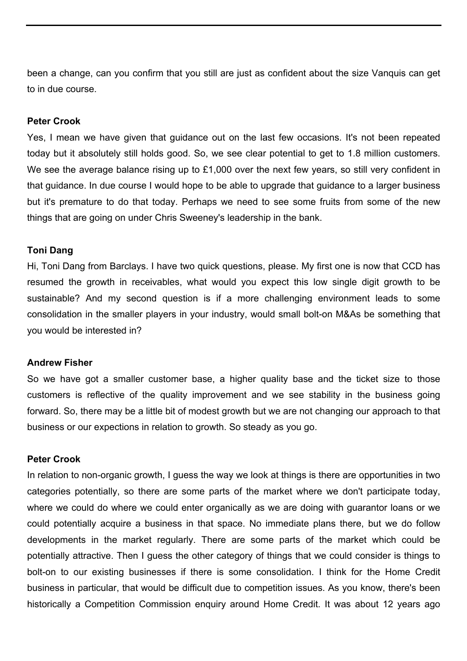been a change, can you confirm that you still are just as confident about the size Vanquis can get to in due course.

#### **Peter Crook**

Yes, I mean we have given that guidance out on the last few occasions. It's not been repeated today but it absolutely still holds good. So, we see clear potential to get to 1.8 million customers. We see the average balance rising up to £1,000 over the next few years, so still very confident in that guidance. In due course I would hope to be able to upgrade that guidance to a larger business but it's premature to do that today. Perhaps we need to see some fruits from some of the new things that are going on under Chris Sweeney's leadership in the bank.

#### **Toni Dang**

Hi, Toni Dang from Barclays. I have two quick questions, please. My first one is now that CCD has resumed the growth in receivables, what would you expect this low single digit growth to be sustainable? And my second question is if a more challenging environment leads to some consolidation in the smaller players in your industry, would small bolt-on M&As be something that you would be interested in?

#### **Andrew Fisher**

So we have got a smaller customer base, a higher quality base and the ticket size to those customers is reflective of the quality improvement and we see stability in the business going forward. So, there may be a little bit of modest growth but we are not changing our approach to that business or our expections in relation to growth. So steady as you go.

# **Peter Crook**

In relation to non-organic growth, I guess the way we look at things is there are opportunities in two categories potentially, so there are some parts of the market where we don't participate today, where we could do where we could enter organically as we are doing with guarantor loans or we could potentially acquire a business in that space. No immediate plans there, but we do follow developments in the market regularly. There are some parts of the market which could be potentially attractive. Then I guess the other category of things that we could consider is things to bolt-on to our existing businesses if there is some consolidation. I think for the Home Credit business in particular, that would be difficult due to competition issues. As you know, there's been historically a Competition Commission enquiry around Home Credit. It was about 12 years ago